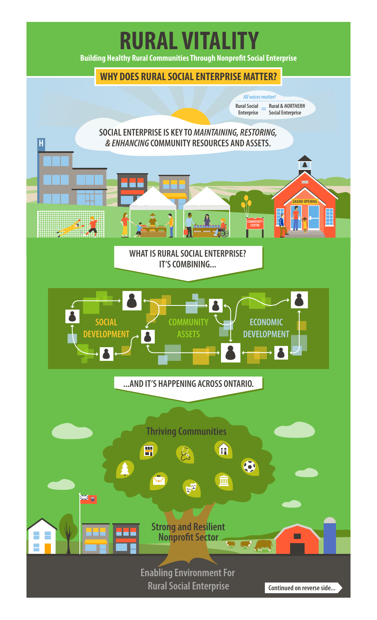## **RURAL VITALITY**

**Building Healthy Rural Communities Through Nonprofit Social Enterprise** 

## **WHY DOES RURAL SOCIAL ENTERPRISE MATTER?**